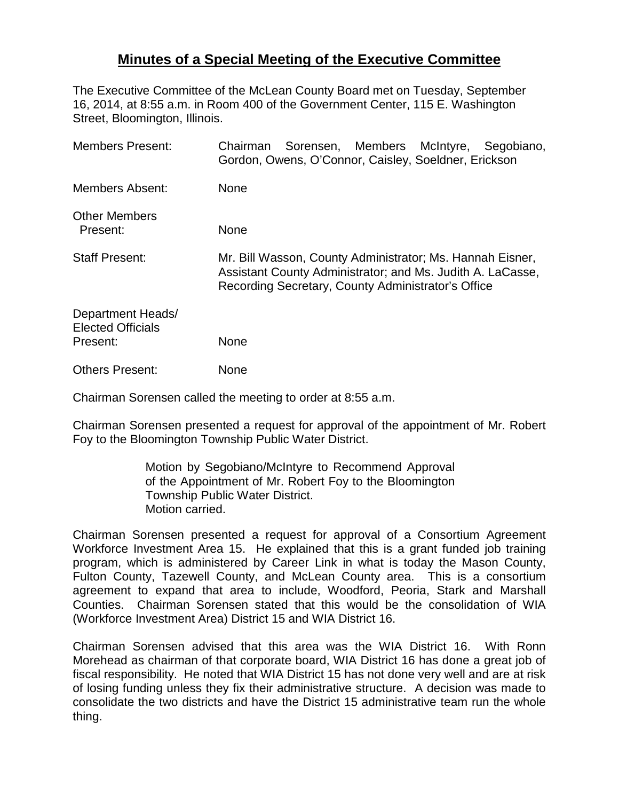## **Minutes of a Special Meeting of the Executive Committee**

The Executive Committee of the McLean County Board met on Tuesday, September 16, 2014, at 8:55 a.m. in Room 400 of the Government Center, 115 E. Washington Street, Bloomington, Illinois.

| <b>Members Present:</b>                                   | Sorensen, Members McIntyre,<br>Segobiano,<br>Chairman<br>Gordon, Owens, O'Connor, Caisley, Soeldner, Erickson                                                                 |
|-----------------------------------------------------------|-------------------------------------------------------------------------------------------------------------------------------------------------------------------------------|
| <b>Members Absent:</b>                                    | None                                                                                                                                                                          |
| <b>Other Members</b><br>Present:                          | None                                                                                                                                                                          |
| <b>Staff Present:</b>                                     | Mr. Bill Wasson, County Administrator; Ms. Hannah Eisner,<br>Assistant County Administrator; and Ms. Judith A. LaCasse,<br>Recording Secretary, County Administrator's Office |
| Department Heads/<br><b>Elected Officials</b><br>Present: | None                                                                                                                                                                          |
| <b>Others Present:</b>                                    | None                                                                                                                                                                          |

Chairman Sorensen called the meeting to order at 8:55 a.m.

Chairman Sorensen presented a request for approval of the appointment of Mr. Robert Foy to the Bloomington Township Public Water District.

> Motion by Segobiano/McIntyre to Recommend Approval of the Appointment of Mr. Robert Foy to the Bloomington Township Public Water District. Motion carried.

Chairman Sorensen presented a request for approval of a Consortium Agreement Workforce Investment Area 15. He explained that this is a grant funded job training program, which is administered by Career Link in what is today the Mason County, Fulton County, Tazewell County, and McLean County area. This is a consortium agreement to expand that area to include, Woodford, Peoria, Stark and Marshall Counties. Chairman Sorensen stated that this would be the consolidation of WIA (Workforce Investment Area) District 15 and WIA District 16.

Chairman Sorensen advised that this area was the WIA District 16. With Ronn Morehead as chairman of that corporate board, WIA District 16 has done a great job of fiscal responsibility. He noted that WIA District 15 has not done very well and are at risk of losing funding unless they fix their administrative structure. A decision was made to consolidate the two districts and have the District 15 administrative team run the whole thing.